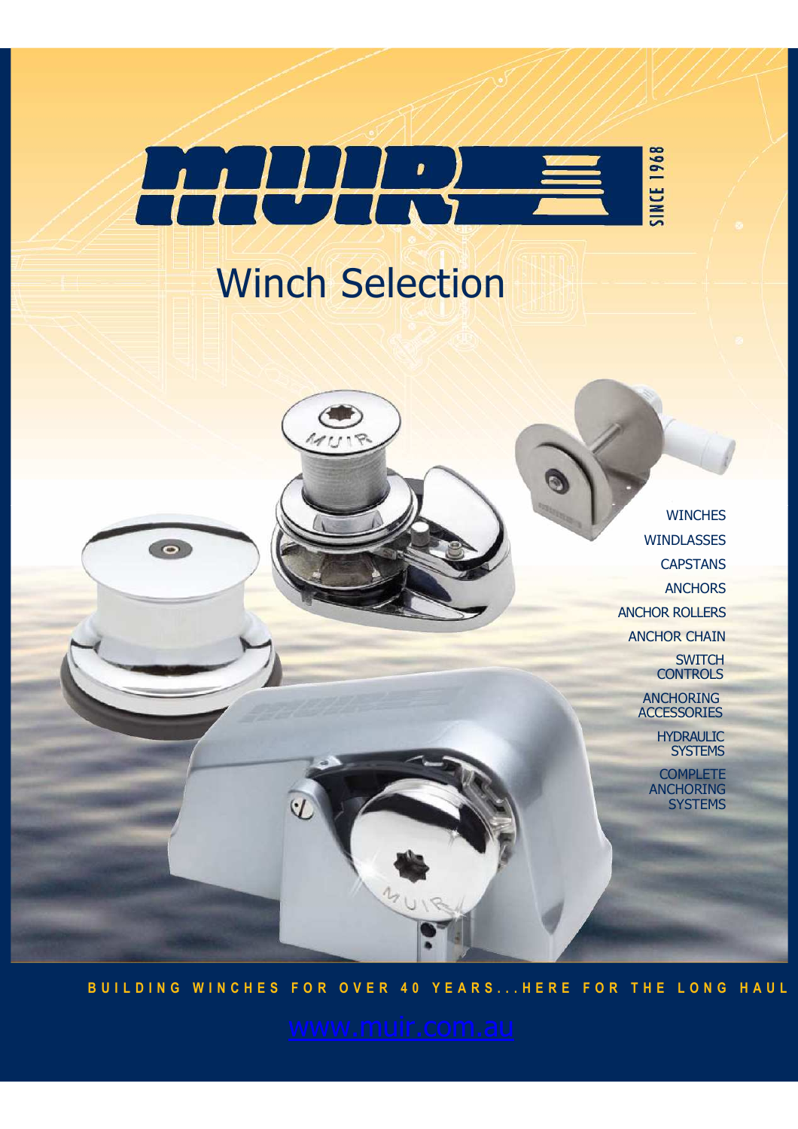

# Winch Selection

 $\bullet$ 

**WINCHES** WINDLASSES **CAPSTANS ANCHORS** ANCHOR ROLLERS ANCHOR CHAIN **SWITCH CONTROLS** 

G

ANCHORING **ACCESSORIES** 

HYDRAULIC **SYSTEMS** 

**COMPLETE** ANCHORING **SYSTEMS** 

**B U I L D I N G W I N C H E S F O R O V E R 4 0 Y E A R S . . . H E R E F O R T H E L O N G H A U L**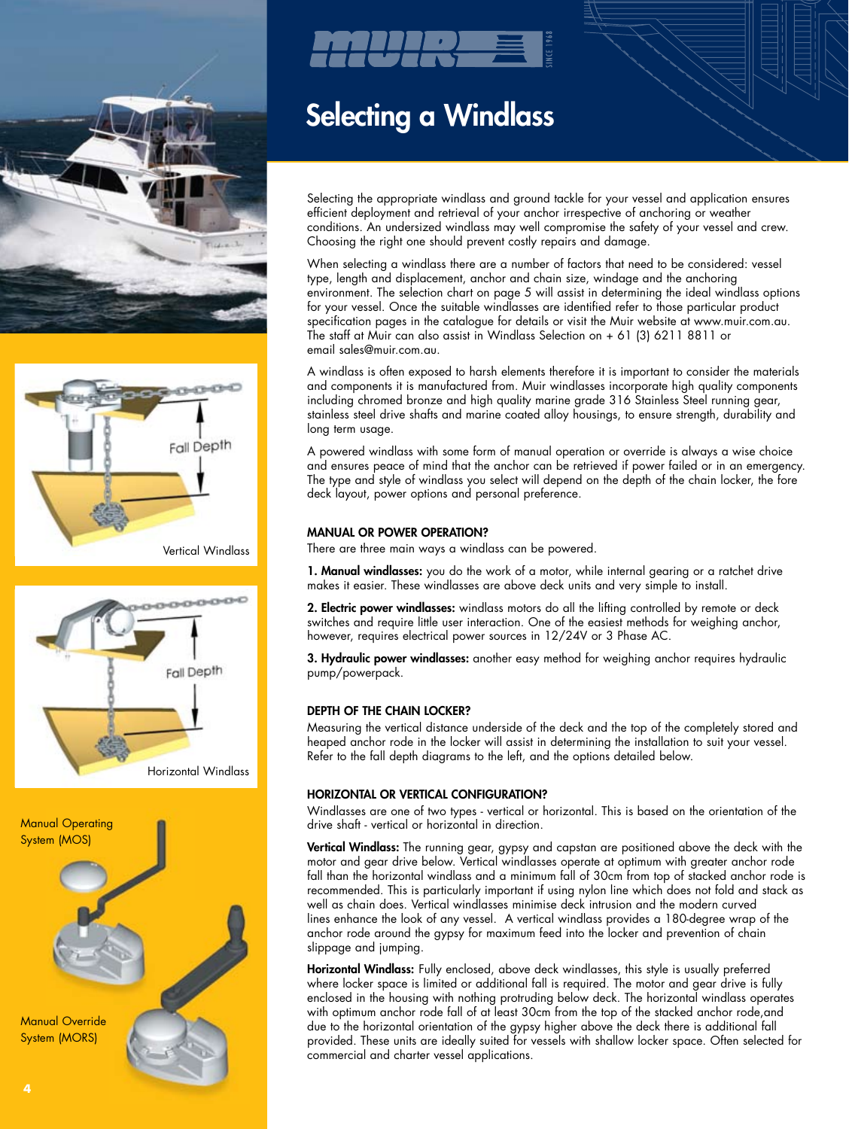









## Selecting a Windlass

Selecting the appropriate windlass and ground tackle for your vessel and application ensures efficient deployment and retrieval of your anchor irrespective of anchoring or weather conditions. An undersized windlass may well compromise the safety of your vessel and crew. Choosing the right one should prevent costly repairs and damage.

When selecting a windlass there are a number of factors that need to be considered: vessel type, length and displacement, anchor and chain size, windage and the anchoring environment. The selection chart on page 5 will assist in determining the ideal windlass options for your vessel. Once the suitable windlasses are identified refer to those particular product specification pages in the catalogue for details or visit the Muir website at www.muir.com.au. The staff at Muir can also assist in Windlass Selection on + 61 (3) 6211 8811 or email sales@muir.com.au.

A windlass is often exposed to harsh elements therefore it is important to consider the materials and components it is manufactured from. Muir windlasses incorporate high quality components including chromed bronze and high quality marine grade 316 Stainless Steel running gear, stainless steel drive shafts and marine coated alloy housings, to ensure strength, durability and long term usage.

A powered windlass with some form of manual operation or override is always a wise choice and ensures peace of mind that the anchor can be retrieved if power failed or in an emergency. The type and style of windlass you select will depend on the depth of the chain locker, the fore deck layout, power options and personal preference.

## MANUAL OR POWER OPERATION?

There are three main ways a windlass can be powered.

1. Manual windlasses: you do the work of a motor, while internal gearing or a ratchet drive makes it easier. These windlasses are above deck units and very simple to install.

2. Electric power windlasses: windlass motors do all the lifting controlled by remote or deck switches and require little user interaction. One of the easiest methods for weighing anchor, however, requires electrical power sources in 12/24V or 3 Phase AC.

3. Hydraulic power windlasses: another easy method for weighing anchor requires hydraulic pump/powerpack.

## DEPTH OF THE CHAIN LOCKER?

Measuring the vertical distance underside of the deck and the top of the completely stored and heaped anchor rode in the locker will assist in determining the installation to suit your vessel. Refer to the fall depth diagrams to the left, and the options detailed below.

## HORIZONTAL OR VERTICAL CONFIGURATION?

Windlasses are one of two types - vertical or horizontal. This is based on the orientation of the drive shaft - vertical or horizontal in direction.

Vertical Windlass: The running gear, gypsy and capstan are positioned above the deck with the motor and gear drive below. Vertical windlasses operate at optimum with greater anchor rode fall than the horizontal windlass and a minimum fall of 30cm from top of stacked anchor rode is recommended. This is particularly important if using nylon line which does not fold and stack as well as chain does. Vertical windlasses minimise deck intrusion and the modern curved lines enhance the look of any vessel. A vertical windlass provides a 180-degree wrap of the anchor rode around the gypsy for maximum feed into the locker and prevention of chain slippage and jumping.

Horizontal Windlass: Fully enclosed, above deck windlasses, this style is usually preferred where locker space is limited or additional fall is required. The motor and gear drive is fully enclosed in the housing with nothing protruding below deck. The horizontal windlass operates with optimum anchor rode fall of at least 30cm from the top of the stacked anchor rode, and due to the horizontal orientation of the gypsy higher above the deck there is additional fall provided. These units are ideally suited for vessels with shallow locker space. Often selected for commercial and charter vessel applications.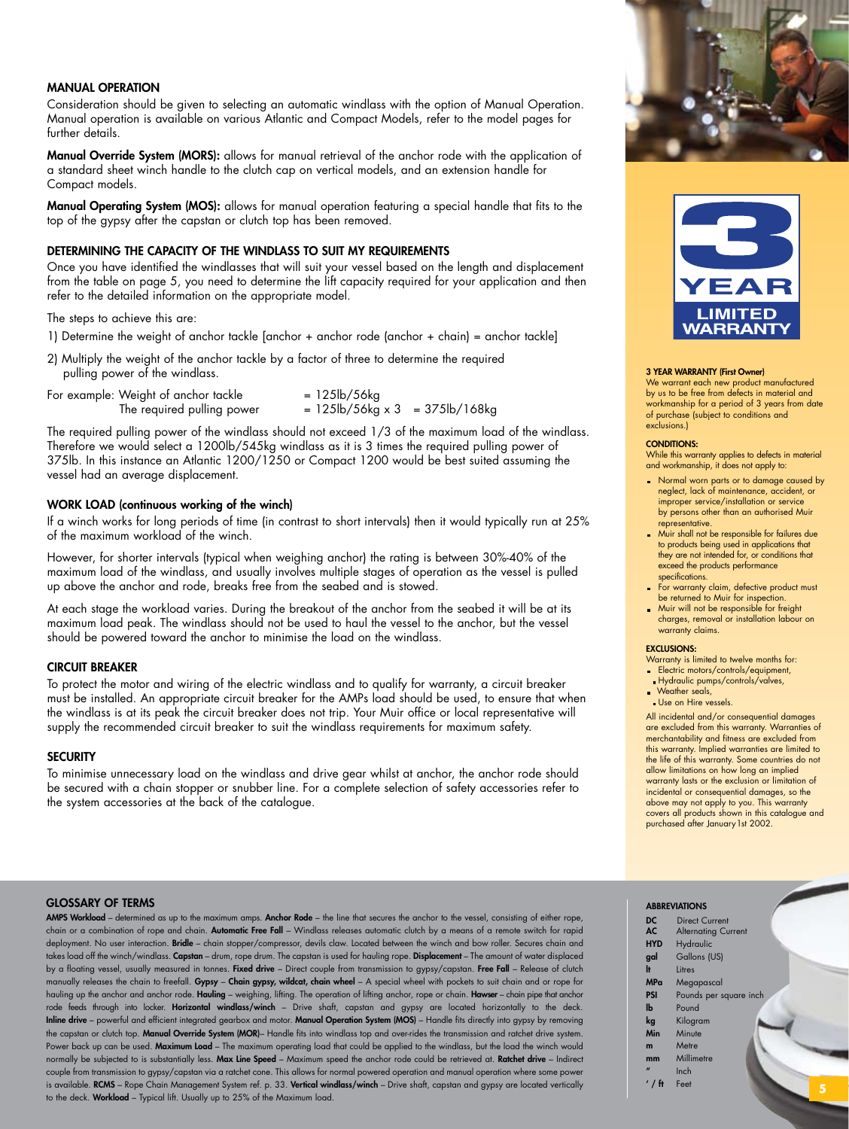## Manual Operation

Consideration should be given to selecting an automatic windlass with the option of Manual Operation. Manual operation is available on various Atlantic and Compact Models, refer to the model pages for further details.

Manual Override System (MORS): allows for manual retrieval of the anchor rode with the application of a standard sheet winch handle to the clutch cap on vertical models, and an extension handle for Compact models.

Manual Operating System (MOS): allows for manual operation featuring a special handle that fits to the top of the gypsy after the capstan or clutch top has been removed.

## DETERMINING THE CAPACITY OF THE WINDLASS TO SUIT MY REQUIREMENTS

Once you have identified the windlasses that will suit your vessel based on the length and displacement from the table on page 5, you need to determine the lift capacity required for your application and then refer to the detailed information on the appropriate model.

The steps to achieve this are:

- 1) Determine the weight of anchor tackle [anchor + anchor rode (anchor + chain) = anchor tackle]
- 2) Multiply the weight of the anchor tackle by a factor of three to determine the required pulling power of the windlass.

| For example: Weight of anchor tackle | $= 125 \, \text{lb} / 56 \, \text{kg}$                                    |  |
|--------------------------------------|---------------------------------------------------------------------------|--|
| The required pulling power           | $= 125 \text{lb} / 56 \text{kg} \times 3 = 375 \text{lb} / 168 \text{kg}$ |  |

The required pulling power of the windlass should not exceed 1/3 of the maximum load of the windlass. Therefore we would select a 1200lb/545kg windlass as it is 3 times the required pulling power of 375lb. In this instance an Atlantic 1200/1250 or Compact 1200 would be best suited assuming the vessel had an average displacement.

## WORK LOAD (continuous working of the winch)

If a winch works for long periods of time (in contrast to short intervals) then it would typically run at 25% of the maximum workload of the winch.

However, for shorter intervals (typical when weighing anchor) the rating is between 30%-40% of the maximum load of the windlass, and usually involves multiple stages of operation as the vessel is pulled up above the anchor and rode, breaks free from the seabed and is stowed.

At each stage the workload varies. During the breakout of the anchor from the seabed it will be at its maximum load peak. The windlass should not be used to haul the vessel to the anchor, but the vessel should be powered toward the anchor to minimise the load on the windlass.

## CIRCUIT BREAKER

To protect the motor and wiring of the electric windlass and to qualify for warranty, a circuit breaker must be installed. An appropriate circuit breaker for the AMPs load should be used, to ensure that when the windlass is at its peak the circuit breaker does not trip. Your Muir office or local representative will supply the recommended circuit breaker to suit the windlass requirements for maximum safety.

## **SECURITY**

To minimise unnecessary load on the windlass and drive gear whilst at anchor, the anchor rode should be secured with a chain stopper or snubber line. For a complete selection of safety accessories refer to the system accessories at the back of the catalogue.





### 3 YEAR WARRANTY (First Owner)

We warrant each new product manufactured by us to be free from defects in material and workmanship for a period of 3 years from date of purchase (subject to conditions and exclusions.)

### CONDITIONS:

While this warranty applies to defects in material and workmanship, it does not apply to:

- **Normal worn parts or to damage caused by** neglect, lack of maintenance, accident, or improper service/installation or service by persons other than an authorised Muir representative.
- Muir shall not be responsible for failures due to products being used in applications that they are not intended for, or conditions that exceed the products performance specifications.
- For warranty claim, defective product must be returned to Muir for inspection.
- **Muir will not be responsible for freight** charges, removal or installation labour on warranty claims.

## EXCLUSIONS:

Warranty is limited to twelve months for: **Electric motors/controls/equipment,** 

- Hydraulic pumps/controls/valves,
- Weather seals, Use on Hire vessels.

All incidental and/or consequential damages are excluded from this warranty. Warranties of merchantability and fitness are excluded from this warranty. Implied warranties are limited to the life of this warranty. Some countries do not allow limitations on how long an implied warranty lasts or the exclusion or limitation of incidental or consequential damages, so the above may not apply to you. This warranty covers all products shown in this catalogue and purchased after January 1st 2002.

## GLOSSARY OF TERMS

AMPS Workload – determined as up to the maximum amps. Anchor Rode – the line that secures the anchor to the vessel, consisting of either rope, chain or a combination of rope and chain. Automatic Free Fall – Windlass releases automatic clutch by a means of a remote switch for rapid deployment. No user interaction. Bridle - chain stopper/compressor, devils claw. Located between the winch and bow roller. Secures chain and takes load off the winch/windlass. Capstan – drum, rope drum. The capstan is used for hauling rope. Displacement – The amount of water displaced by a floating vessel, usually measured in tonnes. Fixed drive – Direct couple from transmission to gypsy/capstan. Free Fall – Release of clutch manually releases the chain to freefall. Gypsy - Chain gypsy, wildcat, chain wheel - A special wheel with pockets to suit chain and or rope for hauling up the anchor and anchor rode. Hauling – weighing, lifting. The operation of lifting anchor, rope or chain. Hawser – chain pipe that anchor rode feeds through into locker. Horizontal windlass/winch - Drive shaft, capstan and gypsy are located horizontally to the deck. Inline drive – powerful and efficient integrated gearbox and motor. Manual Operation System (MOS) – Handle fits directly into gypsy by removing the capstan or clutch top. Manual Override System (MOR)– Handle fits into windlass top and over-rides the transmission and ratchet drive system. Power back up can be used. Maximum Load – The maximum operating load that could be applied to the windlass, but the load the winch would normally be subjected to is substantially less. Max Line Speed – Maximum speed the anchor rode could be retrieved at. Ratchet drive – Indirect couple from transmission to gypsy/capstan via a ratchet cone. This allows for normal powered operation and manual operation where some power is available. RCMS – Rope Chain Management System ref. p. 33. Vertical windlass/winch – Drive shaft, capstan and gypsy are located vertically to the deck. Workload – Typical lift. Usually up to 25% of the Maximum load. **<sup>5</sup>**

## ABBREVIATIONS

DC<br>AC

HY

MP<br>PSI

 $\mathbf{I} \mathbf{b}$ 

 $m$  $m<sub>l</sub>$ 

| DC         | <b>Direct Current</b>      |
|------------|----------------------------|
| <b>AC</b>  | <b>Alternating Current</b> |
| <b>HYD</b> | Hydraulic                  |
| gal        | Gallons (US)               |
| ŀ          | Litres                     |
| <b>MPa</b> | Megapascal                 |
| PSI        | Pounds per square inch     |
| lЬ         | Pound                      |
| kg         | Kilogram                   |
| Min        | Minute                     |
| m          | Metre                      |
| mm         | Millimetre                 |
|            | Inch                       |
| $'$ / ft   | Feet                       |
|            |                            |